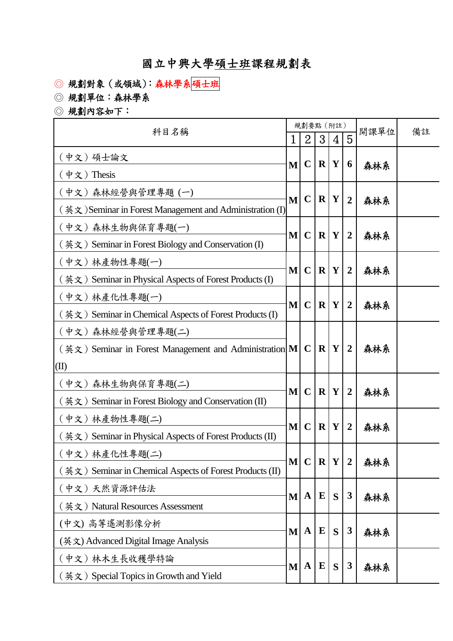## 國立中興大學碩士班課程規劃表

- ◎ 規劃對象(或領域):森林學系碩士班
- ◎ 規劃單位:森林學系
- ◎ 規劃內容如下:

| 科目名稱                                                     | 規劃要點 (附註)    |                |              |             |                | 開課單位 | 備註 |
|----------------------------------------------------------|--------------|----------------|--------------|-------------|----------------|------|----|
|                                                          | 1            | $\overline{2}$ | 3            | 4           | 5              |      |    |
| (中文) 碩士論文                                                | $\mathbf{M}$ | $\mathbf C$    | $\mathbf{R}$ | Y           | 6              | 森林系  |    |
| (中文) Thesis                                              |              |                |              |             |                |      |    |
| (中文)森林經營與管理專題 (一)                                        | $\mathbf{M}$ | $\mathbf C$    | R Y          |             | $\overline{2}$ | 森林系  |    |
| (英文) Seminar in Forest Management and Administration (I) |              |                |              |             |                |      |    |
| (中文)森林生物與保育專題(一)                                         | M            | $\mathbf C$    |              | R Y         | $\overline{2}$ |      |    |
| (英文) Seminar in Forest Biology and Conservation (I)      |              |                |              |             |                | 森林系  |    |
| (中文)林產物性專題(一)                                            |              |                |              |             |                |      |    |
| (英文) Seminar in Physical Aspects of Forest Products (I)  | $\mathbf{M}$ | $\mathbf C$    | $\mathbf{R}$ | Y           | $\overline{2}$ | 森林系  |    |
| (中文)林產化性專題(一)                                            | M            | $\mathbf C$    | $\mathbf R$  | $\mathbf Y$ |                | 森林系  |    |
| (英文) Seminar in Chemical Aspects of Forest Products (I)  |              |                |              |             | $\overline{2}$ |      |    |
| (中文)森林經營與管理專題(二)                                         |              |                |              |             | $\overline{2}$ | 森林系  |    |
| (英文) Seminar in Forest Management and Administration M   |              | $\mathbf C$    | $\mathbf{R}$ | Y           |                |      |    |
| (II)                                                     |              |                |              |             |                |      |    |
| (中文)森林生物與保育專題(二)                                         |              |                |              |             |                |      |    |
| (英文) Seminar in Forest Biology and Conservation (II)     | $\mathbf{M}$ | $\mathbf C$    | $\mathbf{R}$ | Y           | $\overline{2}$ | 森林系  |    |
| (中文)林產物性專題(二)                                            |              |                |              |             | $\overline{2}$ | 森林系  |    |
| (英文) Seminar in Physical Aspects of Forest Products (II) | M            | $\mathbf C$    | $\mathbf{R}$ | Y           |                |      |    |
| (中文)林產化性專題(二)                                            |              |                |              |             | M C R Y 2      | 森林系  |    |
| (英文) Seminar in Chemical Aspects of Forest Products (II) |              |                |              |             |                |      |    |
| (中文)天然資源評估法                                              | $\mathbf{M}$ | $\mathbf A$    | ${\bf E}$    | S           | 3              | 森林系  |    |
| (英文) Natural Resources Assessment                        |              |                |              |             |                |      |    |
| (中文) 高等遙測影像分析                                            | M            | $\mathbf A$    | $\bf{E}$     | S           | 3              | 森林系  |    |
| (英文) Advanced Digital Image Analysis                     |              |                |              |             |                |      |    |
| (中文)林木生長收穫學特論                                            | $\mathbf{M}$ | $\mathbf A$    | $\bf{E}$     | S           | 3              |      |    |
| (英文) Special Topics in Growth and Yield                  |              |                |              |             |                | 森林系  |    |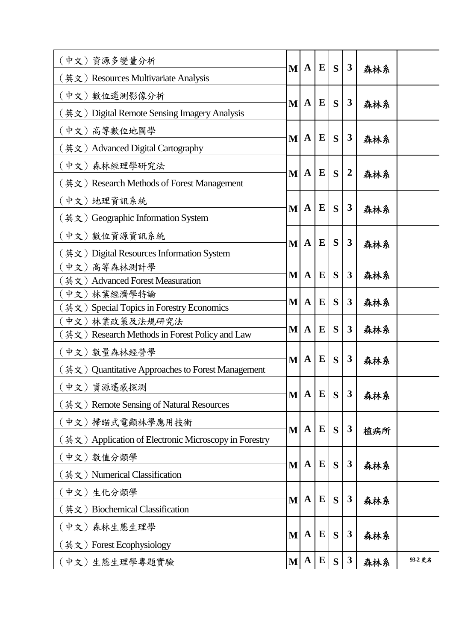| (中文)資源多變量分析                                                                 | M            | $\mathbf A$  | E         | S | $\boldsymbol{3}$ |     |         |
|-----------------------------------------------------------------------------|--------------|--------------|-----------|---|------------------|-----|---------|
| (英文) Resources Multivariate Analysis                                        |              |              |           |   |                  | 森林系 |         |
| (中文) 數位遙測影像分析                                                               |              | $\mathbf A$  | E         |   | $\boldsymbol{3}$ |     |         |
| (英文) Digital Remote Sensing Imagery Analysis                                | M            |              |           | S |                  | 森林系 |         |
| (中文)高等數位地圖學                                                                 |              |              |           |   |                  |     |         |
| (英文) Advanced Digital Cartography                                           | M            | $\mathbf A$  | E         | S | $\boldsymbol{3}$ | 森林系 |         |
| (中文)森林經理學研究法                                                                |              |              |           |   |                  |     |         |
| ( 英文 ) Research Methods of Forest Management                                | M            | $\mathbf A$  | E         | S | $\boldsymbol{2}$ | 森林系 |         |
| (中文) 地理資訊系統                                                                 |              | $\mathbf A$  | E         |   | 3                | 森林系 |         |
| 〔英文〕 Geographic Information System                                          | M            |              |           | S |                  |     |         |
| (中文) 數位資源資訊系統                                                               |              |              |           |   |                  | 森林系 |         |
| (英文) Digital Resources Information System                                   | M            | $\mathbf A$  | E         | S | 3                |     |         |
| (中文)高等森林測計學                                                                 |              |              |           |   |                  |     |         |
| 英文) Advanced Forest Measuration                                             | M            | $\mathbf A$  | E         | S | 3                | 森林系 |         |
| 〔中文〕林業經濟學特論                                                                 | M            | $\mathbf A$  | E         | S | 3                |     |         |
| $(\nexists \mathbf{x} \in \mathbb{R})$ Special Topics in Forestry Economics |              |              |           |   |                  | 森林系 |         |
| (中文) 林業政策及法規研究法                                                             | M            | $\mathbf A$  | E         | S | 3                | 森林系 |         |
| [英文) Research Methods in Forest Policy and Law                              |              |              |           |   |                  |     |         |
| (中文) 數量森林經營學                                                                | M            | $\mathbf A$  | E         | S | 3                | 森林系 |         |
| (英文) Quantitative Approaches to Forest Management                           |              |              |           |   |                  |     |         |
| (中文) 資源遙感探測                                                                 | $\mathbf{M}$ | $\mathbf{A}$ | E         | S | 3                |     |         |
| (英文) Remote Sensing of Natural Resources                                    |              |              |           |   |                  | 森林系 |         |
| (中文)掃瞄式電顯林學應用技術                                                             |              | $\mathbf A$  | E         | S | $\boldsymbol{3}$ |     |         |
| (英文) Application of Electronic Microscopy in Forestry                       | M            |              |           |   |                  | 植病所 |         |
| (中文) 數值分類學                                                                  |              |              | ${\bf E}$ |   |                  |     |         |
| 〔英文〕Numerical Classification                                                | M            | $\mathbf A$  |           | S | $\boldsymbol{3}$ | 森林系 |         |
| (中文)生化分類學                                                                   |              |              |           |   | $\boldsymbol{3}$ |     |         |
| (英文) Biochemical Classification                                             | M            | $\mathbf A$  | E         | S |                  | 森林系 |         |
| (中文)森林生態生理學                                                                 |              | $\mathbf A$  | ${\bf E}$ |   | $\boldsymbol{3}$ | 森林系 |         |
| (英文) Forest Ecophysiology                                                   | M            |              |           | S |                  |     |         |
| (中文)生態生理學專題實驗                                                               | $\mathbf{M}$ | $\mathbf{A}$ | ${\bf E}$ | S | $\boldsymbol{3}$ | 森林系 | 93-2 更名 |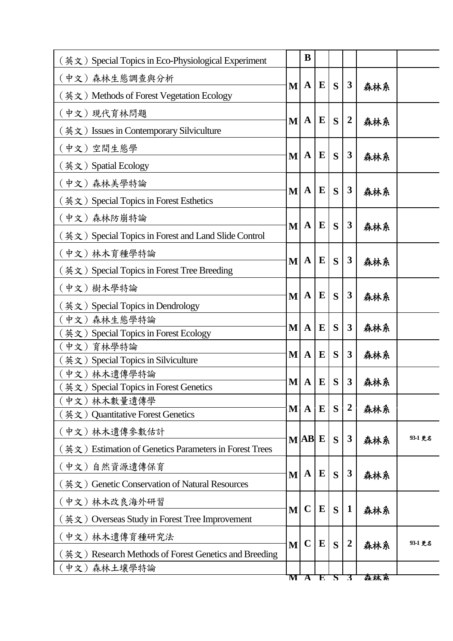| (英文) Special Topics in Eco-Physiological Experiment       |   | B                       |           |   |                  |     |         |
|-----------------------------------------------------------|---|-------------------------|-----------|---|------------------|-----|---------|
| (中文)森林生態調查與分析                                             |   |                         |           |   |                  |     |         |
| (英文) Methods of Forest Vegetation Ecology                 | M | $\mathbf A$             | E         | S | 3                | 森林系 |         |
| (中文)現代育林問題                                                |   |                         |           |   |                  |     |         |
| (英文) Issues in Contemporary Silviculture                  | M | $\mathbf A$             | E         | S | $\overline{2}$   | 森林系 |         |
| (中文)空間生態學                                                 |   |                         |           |   |                  |     |         |
| (英文)Spatial Ecology                                       | M | $\mathbf A$             | E         | S | 3                | 森林系 |         |
| (中文) 森林美學特論                                               |   | $\mathbf A$             | E         | S | 3                |     |         |
| (英文) Special Topics in Forest Esthetics                   | M |                         |           |   |                  | 森林系 |         |
| (中文)森林防崩特論                                                | M | $\mathbf A$             | E         | S | 3                |     |         |
| (英文) Special Topics in Forest and Land Slide Control      |   |                         |           |   |                  | 森林系 |         |
| (中文) 林木育種學特論                                              |   | $\mathbf A$             | E         |   |                  | 森林系 |         |
| (英文) Special Topics in Forest Tree Breeding               | M |                         |           | S | 3                |     |         |
| (中文) 樹木學特論                                                |   |                         |           |   |                  | 森林系 |         |
| $(\n$ 英文 Special Topics in Dendrology                     | M | $\mathbf A$             | E         | S | 3                |     |         |
| 森林生態學特論<br>中文)                                            |   |                         | ${\bf E}$ |   | 3                |     |         |
| 英文) Special Topics in Forest Ecology                      | M | $\mathbf A$             |           | S |                  | 森林系 |         |
| 育林學特論<br>中文)                                              | M | $\mathbf A$             | E         | S | 3                |     |         |
| 英文) Special Topics in Silviculture                        |   |                         |           |   |                  | 森林系 |         |
| 〔中文〕林木遺傳學特論                                               |   |                         |           |   |                  |     |         |
| 英文) Special Topics in Forest Genetics                     | M | $\mathbf A$             | E         | S | 3                | 森林系 |         |
| (中文)林木數量遺傳學                                               |   |                         |           |   |                  |     |         |
| $(\frac{1}{2}, \frac{1}{2})$ Quantitative Forest Genetics | M | $\mathbf A$             | $\bf{E}$  | S | $\boldsymbol{2}$ | 森林系 |         |
| (中文) 林木遺傳參數估計                                             |   | M AB E                  |           | S | 3                |     | 93-1 更名 |
| (英文) Estimation of Genetics Parameters in Forest Trees    |   |                         |           |   |                  | 森林系 |         |
| 自然資源遺傳保育<br>(中文)                                          |   | A                       | E         | S | 3                |     |         |
| (英文) Genetic Conservation of Natural Resources            | M |                         |           |   |                  | 森林系 |         |
| (中文)林木改良海外研習                                              |   |                         |           |   | $\mathbf{1}$     |     |         |
| (英文) Overseas Study in Forest Tree Improvement            | M | $\mathbf C$             | ${\bf E}$ | S |                  | 森林系 |         |
| (中文)林木遺傳育種研究法                                             |   | $\mathbf C$             | ${\bf E}$ |   | $\boldsymbol{2}$ |     | 93-1 更名 |
| (英文) Research Methods of Forest Genetics and Breeding     | M |                         |           | S |                  | 森林系 |         |
| [中文)<br>森林土壤學特論                                           |   |                         |           |   |                  |     |         |
|                                                           | M | $\overline{\mathbf{A}}$ | E         | र | 3                | 森林系 |         |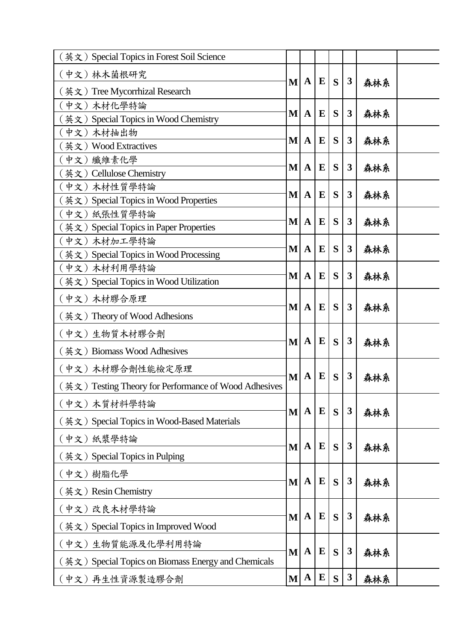|                                                                                                                                  |                                                                                                                                                                                                                                                                     |                                                                                                                            |                                                                              | 森林系                                                                                                                                                                                                                                                    |                                                                                                       |
|----------------------------------------------------------------------------------------------------------------------------------|---------------------------------------------------------------------------------------------------------------------------------------------------------------------------------------------------------------------------------------------------------------------|----------------------------------------------------------------------------------------------------------------------------|------------------------------------------------------------------------------|--------------------------------------------------------------------------------------------------------------------------------------------------------------------------------------------------------------------------------------------------------|-------------------------------------------------------------------------------------------------------|
|                                                                                                                                  |                                                                                                                                                                                                                                                                     |                                                                                                                            |                                                                              |                                                                                                                                                                                                                                                        |                                                                                                       |
|                                                                                                                                  |                                                                                                                                                                                                                                                                     |                                                                                                                            |                                                                              |                                                                                                                                                                                                                                                        |                                                                                                       |
|                                                                                                                                  |                                                                                                                                                                                                                                                                     |                                                                                                                            |                                                                              |                                                                                                                                                                                                                                                        |                                                                                                       |
|                                                                                                                                  |                                                                                                                                                                                                                                                                     |                                                                                                                            |                                                                              |                                                                                                                                                                                                                                                        |                                                                                                       |
|                                                                                                                                  |                                                                                                                                                                                                                                                                     |                                                                                                                            |                                                                              |                                                                                                                                                                                                                                                        |                                                                                                       |
|                                                                                                                                  |                                                                                                                                                                                                                                                                     |                                                                                                                            |                                                                              |                                                                                                                                                                                                                                                        |                                                                                                       |
|                                                                                                                                  |                                                                                                                                                                                                                                                                     |                                                                                                                            |                                                                              |                                                                                                                                                                                                                                                        |                                                                                                       |
|                                                                                                                                  |                                                                                                                                                                                                                                                                     |                                                                                                                            |                                                                              |                                                                                                                                                                                                                                                        |                                                                                                       |
|                                                                                                                                  |                                                                                                                                                                                                                                                                     |                                                                                                                            |                                                                              |                                                                                                                                                                                                                                                        |                                                                                                       |
|                                                                                                                                  |                                                                                                                                                                                                                                                                     |                                                                                                                            |                                                                              |                                                                                                                                                                                                                                                        |                                                                                                       |
|                                                                                                                                  |                                                                                                                                                                                                                                                                     |                                                                                                                            |                                                                              |                                                                                                                                                                                                                                                        |                                                                                                       |
|                                                                                                                                  |                                                                                                                                                                                                                                                                     |                                                                                                                            |                                                                              |                                                                                                                                                                                                                                                        |                                                                                                       |
|                                                                                                                                  |                                                                                                                                                                                                                                                                     |                                                                                                                            |                                                                              |                                                                                                                                                                                                                                                        |                                                                                                       |
| $\mathbf{A}$                                                                                                                     | ${\bf E}$                                                                                                                                                                                                                                                           | S                                                                                                                          | $\boldsymbol{3}$                                                             | 森林系                                                                                                                                                                                                                                                    |                                                                                                       |
| M<br>M<br>M<br>M<br>M<br>M<br>M<br>M<br>M<br>M<br>M<br>(英文) Testing Theory for Performance of Wood Adhesives<br>M<br>M<br>M<br>M | $\mathbf{A}$<br>$\mathbf A$<br>$\mathbf A$<br>$\mathbf A$<br>$\mathbf A$<br>$\mathbf A$<br>$\mathbf A$<br>$\mathbf A$<br>$\mathbf A$<br>$\mathbf A$<br>$\mathbf A$<br>$\mathbf A$<br>M<br>$\mathbf A$<br>$\mathbf A$<br>$\mathbf{A}$<br>$\mathbf A$<br>$\mathbf{M}$ | ${\bf E}$<br>E<br>E<br>$\bf{E}$<br>E<br>$\bf{E}$<br>E<br>E<br>E<br>E<br>E<br>E<br>E<br>${\bf E}$<br>${\bf E}$<br>${\bf E}$ | S<br>S<br>S<br>S<br>S<br>S<br>S<br>S<br>S<br>S<br>S<br>S<br>S<br>S<br>S<br>S | $\boldsymbol{3}$<br>$\mathbf{3}$<br>$\mathbf{3}$<br>$\mathbf{3}$<br>$\mathbf{3}$<br>$\mathbf{3}$<br>$\mathbf{3}$<br>3<br>$\mathbf{3}$<br>$\mathbf{3}$<br>3<br>$\mathbf{3}$<br>$\boldsymbol{3}$<br>$\mathbf{3}$<br>$\boldsymbol{3}$<br>$\boldsymbol{3}$ | 森林系<br>森林系<br>森林系<br>森林系<br>森林系<br>森林系<br>森林系<br>森林系<br>森林系<br>森林系<br>森林系<br>森林系<br>森林系<br>森林系<br>森林系 |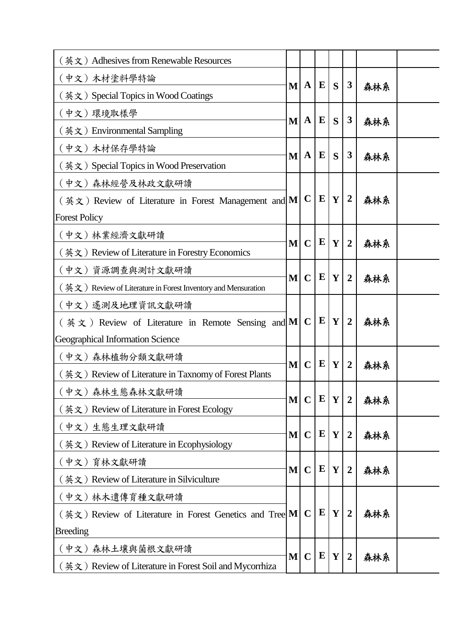| (英文) Adhesives from Renewable Resources                       |              |              |           |              |                  |     |  |
|---------------------------------------------------------------|--------------|--------------|-----------|--------------|------------------|-----|--|
| (中文) 木材塗料學特論                                                  | $\bf{M}$     | $\mathbf A$  | E         | S            | 3                |     |  |
| (英文) Special Topics in Wood Coatings                          |              |              |           |              |                  | 森林系 |  |
| (中文) 環境取樣學                                                    | $\bf{M}$     | $\mathbf{A}$ | E         | S            | 3                |     |  |
| (英文) Environmental Sampling                                   |              |              |           |              |                  | 森林系 |  |
| (中文) 木材保存學特論                                                  |              | $\mathbf{A}$ | $\bf{E}$  | S            | 3                |     |  |
| (英文) Special Topics in Wood Preservation                      | $\bf{M}$     |              |           |              |                  | 森林系 |  |
| (中文)森林經營及林政文獻研讀                                               |              | $\mathbf C$  |           |              |                  |     |  |
| $($ 英文) Review of Literature in Forest Management and M       |              |              | $\bf{E}$  | Y            | $\boldsymbol{2}$ | 森林系 |  |
| <b>Forest Policy</b>                                          |              |              |           |              |                  |     |  |
| (中文) 林業經濟文獻研讀                                                 | M            | $\mathbf C$  | E         | Y            | $\overline{2}$   | 森林系 |  |
| (英文) Review of Literature in Forestry Economics               |              |              |           |              |                  |     |  |
| (中文)資源調查與測計文獻研讀                                               | M            | $\mathbf C$  | ${\bf E}$ | Y            |                  |     |  |
| (英文) Review of Literature in Forest Inventory and Mensuration |              |              |           |              | $\overline{2}$   | 森林系 |  |
| (中文) 遙測及地理資訊文獻研讀                                              |              |              |           |              |                  |     |  |
| ( $\sharp \xi$ ) Review of Literature in Remote Sensing and M |              | $\mathbf C$  | ${\bf E}$ | $\mathbf{Y}$ | $\overline{2}$   | 森林系 |  |
| Geographical Information Science                              |              |              |           |              |                  |     |  |
| (中文)森林植物分類文獻研讀                                                |              |              | ${\bf E}$ | Y            | $\overline{2}$   |     |  |
| (英文) Review of Literature in Taxnomy of Forest Plants         | $\bf{M}$     | $\mathbf C$  |           |              |                  | 森林系 |  |
| (中文)森林生態森林文獻研讀                                                |              |              | ${\bf E}$ |              |                  |     |  |
| (英文) Review of Literature in Forest Ecology                   | $\mathbf{M}$ | $\mathbf C$  |           | Y            | $\overline{2}$   | 森林系 |  |
| (中文)生態生理文獻研讀                                                  |              |              | ${\bf E}$ |              |                  |     |  |
| (英文) Review of Literature in Ecophysiology                    | $\mathbf{M}$ | $\mathbf C$  |           | $\mathbf{Y}$ | $\overline{2}$   | 森林系 |  |
| (中文) 育林文獻研讀                                                   |              |              | ${\bf E}$ |              |                  |     |  |
| $(\n  ∄ x)$ Review of Literature in Silviculture              | M            | $\mathbf C$  |           | Y            | $\overline{2}$   | 森林系 |  |
| (中文) 林木遺傳育種文獻研讀                                               |              |              |           |              |                  |     |  |
| (英文) Review of Literature in Forest Genetics and Tree M       |              | $\mathbf C$  | ${\bf E}$ | Y            | $\overline{2}$   | 森林系 |  |
| <b>Breeding</b>                                               |              |              |           |              |                  |     |  |
| (中文)森林土壤與菌根文獻研讀                                               |              |              |           |              |                  |     |  |
| (英文) Review of Literature in Forest Soil and Mycorrhiza       | M            | $\mathbf C$  | E         | Y            | $\overline{2}$   | 森林系 |  |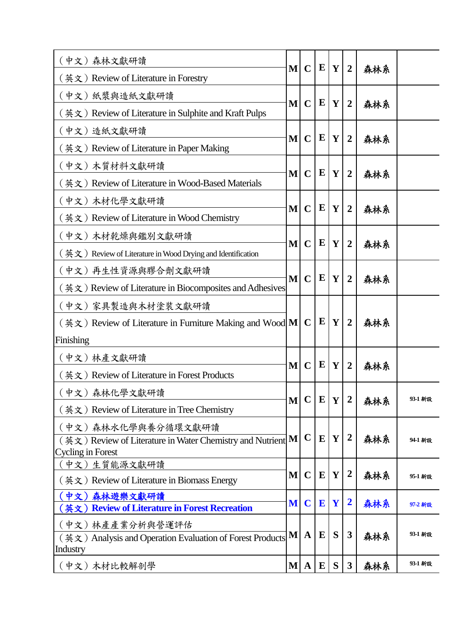| (中文)森林文獻研讀                                                              | $\mathbf{M}$ | $\mathbf C$  | E            | $\mathbf{Y}$ | $\overline{2}$          | 森林系      |         |
|-------------------------------------------------------------------------|--------------|--------------|--------------|--------------|-------------------------|----------|---------|
| (英文) Review of Literature in Forestry                                   |              |              |              |              |                         |          |         |
| (中文) 紙漿與造紙文獻研讀                                                          | $\bf{M}$     | $\mathbf C$  | ${\bf E}$    | Y            | $\overline{2}$          | 森林系      |         |
| (英文) Review of Literature in Sulphite and Kraft Pulps                   |              |              |              |              |                         |          |         |
| (中文)造紙文獻研讀                                                              | $\mathbf{M}$ | $\mathbf C$  | E            | Y            | $\overline{2}$          |          |         |
| (英文) Review of Literature in Paper Making                               |              |              |              |              |                         | 森林系      |         |
| (中文) 木質材料文獻研讀                                                           |              | $\mathbf C$  | ${\bf E}$    | Y            |                         |          |         |
| (英文) Review of Literature in Wood-Based Materials                       | $\mathbf{M}$ |              |              |              | $\overline{2}$          | 森林系      |         |
| (中文) 木材化學文獻研讀                                                           |              |              | $\bf{E}$     |              |                         |          |         |
| (英文) Review of Literature in Wood Chemistry                             | M            | $\mathbf C$  |              | Y            | $\overline{2}$          | 森林系      |         |
| (中文) 木材乾燥與鑑別文獻研讀                                                        |              |              |              |              |                         |          |         |
| $($ 英文) Review of Literature in Wood Drying and Identification          | $\mathbf{M}$ | $\mathbf C$  | E            | Y            | $\overline{2}$          | 森林系      |         |
| (中文)再生性資源與膠合劑文獻研讀                                                       |              |              |              |              |                         |          |         |
| (英文) Review of Literature in Biocomposites and Adhesives                | M            | $\mathbf C$  | E            | Y            | $\overline{2}$          | 森林系      |         |
| (中文) 家具製造與木材塗裝文獻研讀                                                      |              |              |              |              |                         | 森林系      |         |
| $(\nexists \times)$ Review of Literature in Furniture Making and Wood M |              | $\mathbf C$  | ${\bf E}$    | Y            | $\overline{2}$          |          |         |
| Finishing                                                               |              |              |              |              |                         |          |         |
| (中文)林產文獻研讀                                                              |              |              |              |              |                         |          |         |
| (英文) Review of Literature in Forest Products                            | M            | $\mathbf C$  | E            | Y            | $\overline{2}$          | 森林系      |         |
| (中文)森林化學文獻研讀                                                            |              |              |              |              |                         |          |         |
| (英文) Review of Literature in Tree Chemistry                             | $\mathbf{M}$ | $\mathbf C$  | ${\bf E}$    | $\mathbf{Y}$ | $\boldsymbol{2}$        | 森林系      | 93-1 新設 |
| (中文)森林水化學與養分循環文獻研讀                                                      |              |              |              |              |                         |          | 94-1 新設 |
| (英文) Review of Literature in Water Chemistry and Nutrient M             |              | $\mathbf C$  | ${\bf E}$    | $\mathbf{Y}$ | $\boldsymbol{2}$        | 森林系      |         |
| <b>Cycling in Forest</b><br>(中文)生質能源文獻研讀                                |              |              |              |              |                         |          |         |
| $(\nexists \times)$ Review of Literature in Biomass Energy              | M            | $\mathbf C$  | ${\bf E}$    | Y            | $\boldsymbol{2}$        | 森林系      | 95-1 新設 |
| (中文)森林遊樂文獻研讀                                                            |              |              |              |              |                         |          |         |
| <b>Review of Literature in Forest Recreation</b><br>英文)                 | M            | $\mathbf C$  | $\mathbf{E}$ | Y            | $\overline{\mathbf{2}}$ | 森林系      | 97-2 新設 |
| ( 中文 ) 林產產業分析與營運評估                                                      |              | $\mathbf{A}$ |              |              |                         | 3<br>森林系 |         |
| (英文) Analysis and Operation Evaluation of Forest Products<br>Industry   | $\mathbf{M}$ |              | E            | S            |                         |          | 93-1 新設 |
| (中文)木材比較解剖學                                                             | $\bf{M}$     | $\mathbf{A}$ | $\bf{E}$     | S            | $\mathbf{3}$            | 森林系      | 93-1 新設 |
|                                                                         |              |              |              |              |                         |          |         |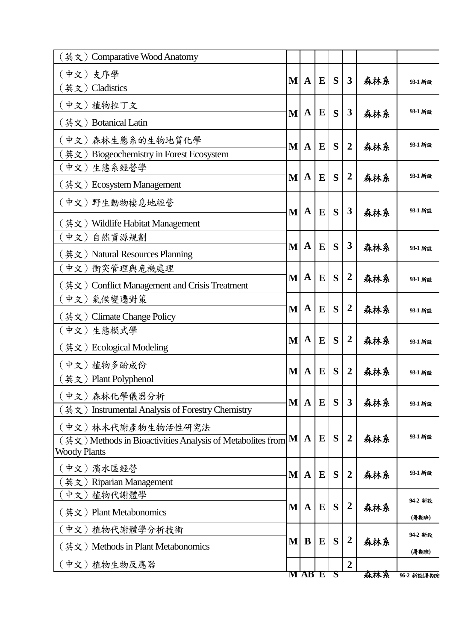| (英文) Comparative Wood Anatomy                                |   |              |          |                  |                  |     |             |  |  |
|--------------------------------------------------------------|---|--------------|----------|------------------|------------------|-----|-------------|--|--|
| (中文)支序學                                                      | M | $\mathbf A$  | $\bf{E}$ | S                | $\mathbf{3}$     | 森林系 | 93-1 新設     |  |  |
| (英文) Cladistics                                              |   |              |          |                  |                  |     |             |  |  |
| (中文)植物拉丁文                                                    | M | A            | $\bf{E}$ | S                | $\mathbf{3}$     | 森林系 | 93-1 新設     |  |  |
| (英文) Botanical Latin                                         |   |              |          |                  |                  |     |             |  |  |
| (中文)森林生態系的生物地質化學                                             | M | $\mathbf A$  | E        | S                | $\overline{2}$   | 森林系 | 93-1 新設     |  |  |
| 英文) Biogeochemistry in Forest Ecosystem                      |   |              |          |                  |                  |     |             |  |  |
| [中文) 生態系經營學                                                  | M | A            | E        | S                | $\overline{2}$   |     | 93-1 新設     |  |  |
| $(\n$ 英) Ecosystem Management                                |   |              |          |                  |                  | 森林系 |             |  |  |
| (中文) 野生動物棲息地經營                                               | M | A            | E        | S                | 3                | 森林系 | 93-1 新設     |  |  |
| (英文) Wildlife Habitat Management                             |   |              |          |                  |                  |     |             |  |  |
| (中文)<br>自然資源規劃                                               |   |              |          |                  |                  |     |             |  |  |
| (英文) Natural Resources Planning                              | M | $\mathbf{A}$ | E        | S                | 3                | 森林系 | 93-1 新設     |  |  |
| [中文) 衝突管理與危機處理                                               |   |              |          |                  |                  |     |             |  |  |
| (英文) Conflict Management and Crisis Treatment                | M | A            | E        | S                | $\overline{2}$   | 森林系 | 93-1 新設     |  |  |
| (中文) 氣候變遷對策                                                  |   |              |          |                  |                  |     |             |  |  |
| (英文) Climate Change Policy                                   | M | A            | E        | S                | $\boldsymbol{2}$ | 森林系 | 93-1 新設     |  |  |
| (中文)生態模式學                                                    |   |              |          |                  |                  |     |             |  |  |
| (英文)Ecological Modeling                                      | M | $\mathbf A$  | E        | S                | $\overline{2}$   | 森林系 | 93-1 新設     |  |  |
| (中文) 植物多酚成份                                                  | M | $\mathbf A$  | $\bf{E}$ | S                | $\overline{2}$   | 森林系 |             |  |  |
| (英文) Plant Polyphenol                                        |   |              |          |                  |                  |     | 93-1 新設     |  |  |
| 〔中文〕森林化學儀器分析                                                 |   |              |          |                  |                  |     |             |  |  |
| 英文) Instrumental Analysis of Forestry Chemistry              | M | $\mathbf A$  | E        | S                | $\mathbf{3}$     | 森林系 | 93-1 新設     |  |  |
| (中文)林木代謝產物生物活性研究法                                            |   |              |          |                  |                  |     |             |  |  |
| (英文) Methods in Bioactivities Analysis of Metabolites from M |   | $\mathbf A$  | $\bf{E}$ | S                | $\overline{2}$   | 森林系 | 93-1 新設     |  |  |
| <b>Woody Plants</b>                                          |   |              |          |                  |                  |     |             |  |  |
| (中文)濱水區經營                                                    | M | $\mathbf{A}$ | $\bf{E}$ | S                | $\boldsymbol{2}$ | 森林系 | 93-1 新設     |  |  |
| 〔英文〕Riparian Management                                      |   |              |          |                  |                  |     |             |  |  |
| 〔中文)植物代謝體學                                                   |   |              |          |                  | $\boldsymbol{2}$ |     | 94-2 新設     |  |  |
| (英文) Plant Metabonomics                                      | M | $\mathbf A$  | $\bf E$  | S                |                  | 森林系 | (暑期班)       |  |  |
| (中文)植物代謝體學分析技術                                               |   |              |          |                  |                  |     | 94-2 新設     |  |  |
| (英文) Methods in Plant Metabonomics                           | M | B            | $\bf E$  | S                | $\boldsymbol{2}$ | 森林系 | (暑期班)       |  |  |
| (中文)植物生物反應器                                                  |   |              |          |                  | $\overline{2}$   |     |             |  |  |
|                                                              |   | <b>MAB E</b> |          | $\boldsymbol{S}$ |                  | 森林系 | 96-2 新設(暑期班 |  |  |